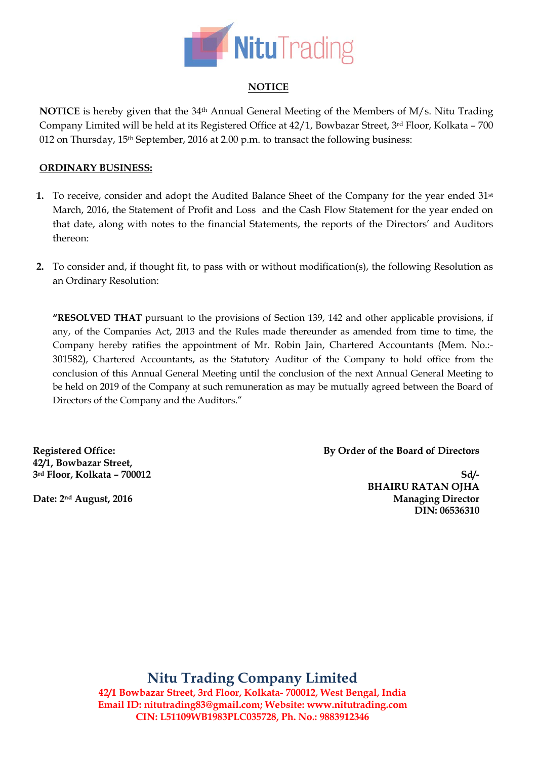

# **NOTICE**

**NOTICE** is hereby given that the 34th Annual General Meeting of the Members of M/s. Nitu Trading Company Limited will be held at its Registered Office at 42/1, Bowbazar Street, 3rd Floor, Kolkata – 700 012 on Thursday, 15<sup>th</sup> September, 2016 at 2.00 p.m. to transact the following business:

## **ORDINARY BUSINESS:**

- **1.** To receive, consider and adopt the Audited Balance Sheet of the Company for the year ended 31<sup>st</sup> March, 2016, the Statement of Profit and Loss and the Cash Flow Statement for the year ended on that date, along with notes to the financial Statements, the reports of the Directors' and Auditors thereon:
- **2.** To consider and, if thought fit, to pass with or without modification(s), the following Resolution as an Ordinary Resolution:

**"RESOLVED THAT** pursuant to the provisions of Section 139, 142 and other applicable provisions, if any, of the Companies Act, 2013 and the Rules made thereunder as amended from time to time, the Company hereby ratifies the appointment of Mr. Robin Jain, Chartered Accountants (Mem. No.:- 301582), Chartered Accountants, as the Statutory Auditor of the Company to hold office from the conclusion of this Annual General Meeting until the conclusion of the next Annual General Meeting to be held on 2019 of the Company at such remuneration as may be mutually agreed between the Board of Directors of the Company and the Auditors."

**Registered Office: 42/1, Bowbazar Street, 3rd Floor, Kolkata – 700012** **By Order of the Board of Directors**

**Sd/- BHAIRU RATAN OJHA Managing Director DIN: 06536310** 

**Date: 2nd August, 2016**

**Nitu Trading Company Limited 42/1 Bowbazar Street, 3rd Floor, Kolkata- 700012, West Bengal, India Email ID: [nitutrading83@gmail.com;](mailto:NITUTRADING83@GMAIL.COM) Website: www.nitutrading.com CIN: L51109WB1983PLC035728, Ph. No.: 9883912346**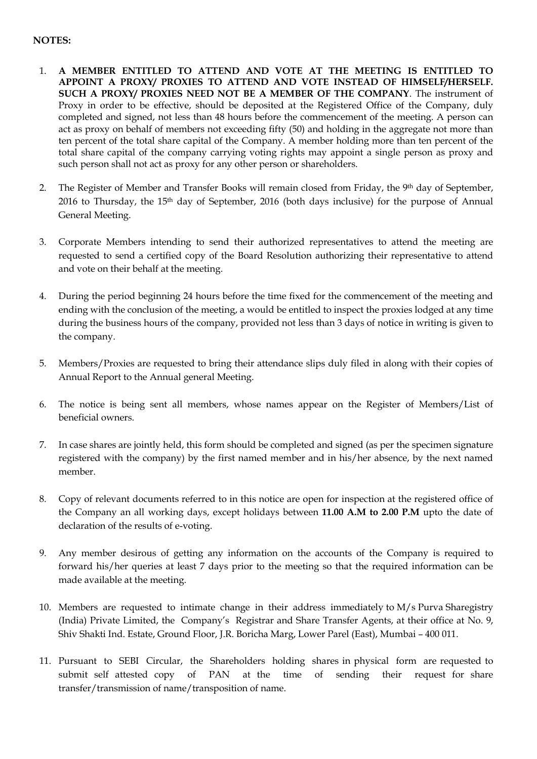# **NOTES:**

- 1. **A MEMBER ENTITLED TO ATTEND AND VOTE AT THE MEETING IS ENTITLED TO APPOINT A PROXY/ PROXIES TO ATTEND AND VOTE INSTEAD OF HIMSELF/HERSELF. SUCH A PROXY/ PROXIES NEED NOT BE A MEMBER OF THE COMPANY**. The instrument of Proxy in order to be effective, should be deposited at the Registered Office of the Company, duly completed and signed, not less than 48 hours before the commencement of the meeting. A person can act as proxy on behalf of members not exceeding fifty (50) and holding in the aggregate not more than ten percent of the total share capital of the Company. A member holding more than ten percent of the total share capital of the company carrying voting rights may appoint a single person as proxy and such person shall not act as proxy for any other person or shareholders.
- 2. The Register of Member and Transfer Books will remain closed from Friday, the 9th day of September, 2016 to Thursday, the 15th day of September, 2016 (both days inclusive) for the purpose of Annual General Meeting.
- 3. Corporate Members intending to send their authorized representatives to attend the meeting are requested to send a certified copy of the Board Resolution authorizing their representative to attend and vote on their behalf at the meeting.
- 4. During the period beginning 24 hours before the time fixed for the commencement of the meeting and ending with the conclusion of the meeting, a would be entitled to inspect the proxies lodged at any time during the business hours of the company, provided not less than 3 days of notice in writing is given to the company.
- 5. Members/Proxies are requested to bring their attendance slips duly filed in along with their copies of Annual Report to the Annual general Meeting.
- 6. The notice is being sent all members, whose names appear on the Register of Members/List of beneficial owners.
- 7. In case shares are jointly held, this form should be completed and signed (as per the specimen signature registered with the company) by the first named member and in his/her absence, by the next named member.
- 8. Copy of relevant documents referred to in this notice are open for inspection at the registered office of the Company an all working days, except holidays between **11.00 A.M to 2.00 P.M** upto the date of declaration of the results of e-voting.
- 9. Any member desirous of getting any information on the accounts of the Company is required to forward his/her queries at least 7 days prior to the meeting so that the required information can be made available at the meeting.
- 10. Members are requested to intimate change in their address immediately to M/s Purva Sharegistry (India) Private Limited, the Company's Registrar and Share Transfer Agents, at their office at No. 9, Shiv Shakti Ind. Estate, Ground Floor, J.R. Boricha Marg, Lower Parel (East), Mumbai – 400 011.
- 11. Pursuant to SEBI Circular, the Shareholders holding shares in physical form are requested to submit self attested copy of PAN at the time of sending their request for share transfer/transmission of name/transposition of name.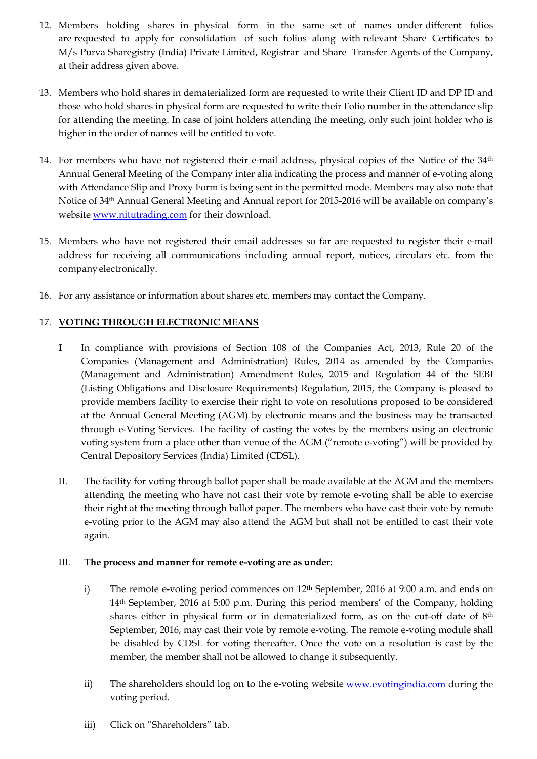- 12. Members holding shares in physical form in the same set of names under different folios are requested to apply for consolidation of such folios along with relevant Share Certificates to M/s Purva Sharegistry (India) Private Limited, Registrar and Share Transfer Agents of the Company, at their address given above.
- 13. Members who hold shares in dematerialized form are requested to write their Client ID and DP ID and those who hold shares in physical form are requested to write their Folio number in the attendance slip for attending the meeting. In case of joint holders attending the meeting, only such joint holder who is higher in the order of names will be entitled to vote.
- 14. For members who have not registered their e-mail address, physical copies of the Notice of the 34<sup>th</sup> Annual General Meeting of the Company inter alia indicating the process and manner of e‐voting along with Attendance Slip and Proxy Form is being sent in the permitted mode. Members may also note that Notice of 34th Annual General Meeting and Annual report for 2015-2016 will be available on company's website [www.nitutrading.com](http://www.nitutrading.com/) for their download.
- 15. Members who have not registered their email addresses so far are requested to register their e‐mail address for receiving all communications including annual report, notices, circulars etc. from the company electronically.
- 16. For any assistance or information about shares etc. members may contact the Company.

## 17. **VOTING THROUGH ELECTRONIC MEANS**

- **I** In compliance with provisions of Section 108 of the Companies Act, 2013, Rule 20 of the Companies (Management and Administration) Rules, 2014 as amended by the Companies (Management and Administration) Amendment Rules, 2015 and Regulation 44 of the SEBI (Listing Obligations and Disclosure Requirements) Regulation, 2015, the Company is pleased to provide members facility to exercise their right to vote on resolutions proposed to be considered at the Annual General Meeting (AGM) by electronic means and the business may be transacted through e-Voting Services. The facility of casting the votes by the members using an electronic voting system from a place other than venue of the AGM ("remote e-voting") will be provided by Central Depository Services (India) Limited (CDSL).
- II. The facility for voting through ballot paper shall be made available at the AGM and the members attending the meeting who have not cast their vote by remote e-voting shall be able to exercise their right at the meeting through ballot paper. The members who have cast their vote by remote e-voting prior to the AGM may also attend the AGM but shall not be entitled to cast their vote again.

#### III. **The process and manner for remote e-voting are as under:**

- i) The remote e-voting period commences on 12<sup>th</sup> September, 2016 at 9:00 a.m. and ends on 14th September, 2016 at 5:00 p.m. During this period members' of the Company, holding shares either in physical form or in dematerialized form, as on the cut-off date of  $8<sup>th</sup>$ September, 2016, may cast their vote by remote e-voting. The remote e-voting module shall be disabled by CDSL for voting thereafter. Once the vote on a resolution is cast by the member, the member shall not be allowed to change it subsequently.
- ii) The shareholders should log on to the e-voting website [www.evotingindia.com](http://www.evotingindia.com/) during the voting period.
- iii) Click on "Shareholders" tab.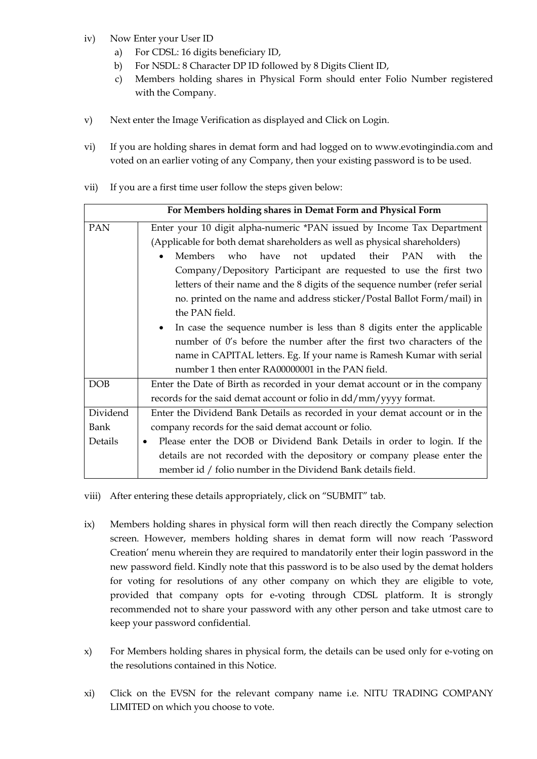- iv) Now Enter your User ID
	- a) For CDSL: 16 digits beneficiary ID,
	- b) For NSDL: 8 Character DP ID followed by 8 Digits Client ID,
	- c) Members holding shares in Physical Form should enter Folio Number registered with the Company.
- v) Next enter the Image Verification as displayed and Click on Login.
- vi) If you are holding shares in demat form and had logged on to [www.evotingindia.com](http://www.evotingindia.com/) and voted on an earlier voting of any Company, then your existing password is to be used.
- vii) If you are a first time user follow the steps given below:

|            | For Members holding shares in Demat Form and Physical Form                  |  |  |  |  |
|------------|-----------------------------------------------------------------------------|--|--|--|--|
| <b>PAN</b> | Enter your 10 digit alpha-numeric *PAN issued by Income Tax Department      |  |  |  |  |
|            | (Applicable for both demat shareholders as well as physical shareholders)   |  |  |  |  |
|            | Members who have not updated their PAN with<br>the<br>$\bullet$             |  |  |  |  |
|            | Company/Depository Participant are requested to use the first two           |  |  |  |  |
|            | letters of their name and the 8 digits of the sequence number (refer serial |  |  |  |  |
|            | no. printed on the name and address sticker/Postal Ballot Form/mail) in     |  |  |  |  |
|            | the PAN field.                                                              |  |  |  |  |
|            | In case the sequence number is less than 8 digits enter the applicable      |  |  |  |  |
|            | number of 0's before the number after the first two characters of the       |  |  |  |  |
|            | name in CAPITAL letters. Eg. If your name is Ramesh Kumar with serial       |  |  |  |  |
|            | number 1 then enter RA00000001 in the PAN field.                            |  |  |  |  |
| <b>DOB</b> | Enter the Date of Birth as recorded in your demat account or in the company |  |  |  |  |
|            | records for the said demat account or folio in dd/mm/yyyy format.           |  |  |  |  |
| Dividend   | Enter the Dividend Bank Details as recorded in your demat account or in the |  |  |  |  |
| Bank       | company records for the said demat account or folio.                        |  |  |  |  |
| Details    | Please enter the DOB or Dividend Bank Details in order to login. If the     |  |  |  |  |
|            | details are not recorded with the depository or company please enter the    |  |  |  |  |
|            | member id / folio number in the Dividend Bank details field.                |  |  |  |  |

- viii) After entering these details appropriately, click on "SUBMIT" tab.
- ix) Members holding shares in physical form will then reach directly the Company selection screen. However, members holding shares in demat form will now reach 'Password Creation' menu wherein they are required to mandatorily enter their login password in the new password field. Kindly note that this password is to be also used by the demat holders for voting for resolutions of any other company on which they are eligible to vote, provided that company opts for e-voting through CDSL platform. It is strongly recommended not to share your password with any other person and take utmost care to keep your password confidential.
- x) For Members holding shares in physical form, the details can be used only for e-voting on the resolutions contained in this Notice.
- xi) Click on the EVSN for the relevant company name i.e. NITU TRADING COMPANY LIMITED on which you choose to vote.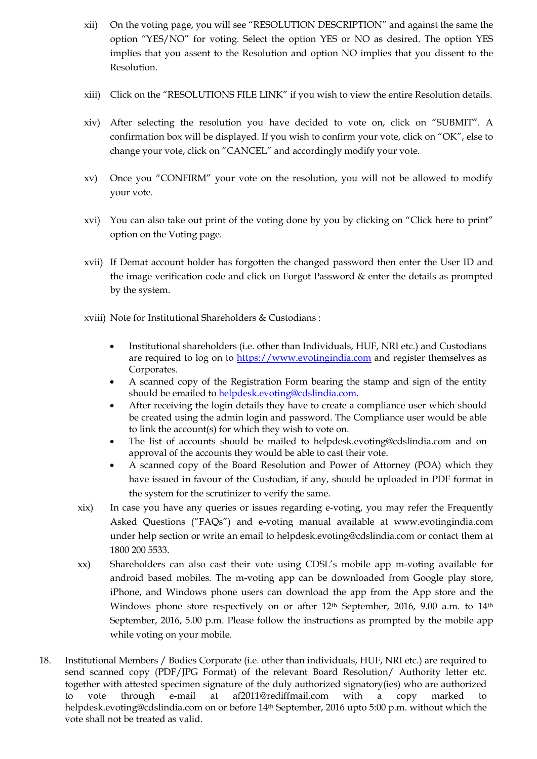- xii) On the voting page, you will see "RESOLUTION DESCRIPTION" and against the same the option "YES/NO" for voting. Select the option YES or NO as desired. The option YES implies that you assent to the Resolution and option NO implies that you dissent to the Resolution.
- xiii) Click on the "RESOLUTIONS FILE LINK" if you wish to view the entire Resolution details.
- xiv) After selecting the resolution you have decided to vote on, click on "SUBMIT". A confirmation box will be displayed. If you wish to confirm your vote, click on "OK", else to change your vote, click on "CANCEL" and accordingly modify your vote.
- xv) Once you "CONFIRM" your vote on the resolution, you will not be allowed to modify your vote.
- xvi) You can also take out print of the voting done by you by clicking on "Click here to print" option on the Voting page.
- xvii) If Demat account holder has forgotten the changed password then enter the User ID and the image verification code and click on Forgot Password & enter the details as prompted by the system.
- xviii) Note for Institutional Shareholders & Custodians :
	- Institutional shareholders (i.e. other than Individuals, HUF, NRI etc.) and Custodians are required to log on to [https://www.evotingindia.com](https://www.evotingindia.com/) and register themselves as Corporates.
	- A scanned copy of the Registration Form bearing the stamp and sign of the entity should be emailed t[o helpdesk.evoting@cdslindia.com.](mailto:helpdesk.evoting@cdslindia.com)
	- After receiving the login details they have to create a compliance user which should be created using the admin login and password. The Compliance user would be able to link the account(s) for which they wish to vote on.
	- The list of accounts should be mailed to helpdesk.evoting@cdslindia.com and on approval of the accounts they would be able to cast their vote.
	- A scanned copy of the Board Resolution and Power of Attorney (POA) which they have issued in favour of the Custodian, if any, should be uploaded in PDF format in the system for the scrutinizer to verify the same.
- xix) In case you have any queries or issues regarding e-voting, you may refer the Frequently Asked Questions ("FAQs") and e-voting manual available at [www.evotingindia.com](http://www.evotingindia.com/) under help section or write an email to [helpdesk.evoting@cdslindia.com](mailto:helpdesk.evoting@cdslindia.com) or contact them at 1800 200 5533.
- xx) Shareholders can also cast their vote using CDSL's mobile app m-voting available for android based mobiles. The m-voting app can be downloaded from Google play store, iPhone, and Windows phone users can download the app from the App store and the Windows phone store respectively on or after  $12<sup>th</sup>$  September, 2016, 9.00 a.m. to  $14<sup>th</sup>$ September, 2016, 5.00 p.m. Please follow the instructions as prompted by the mobile app while voting on your mobile.
- 18. Institutional Members / Bodies Corporate (i.e. other than individuals, HUF, NRI etc.) are required to send scanned copy (PDF/JPG Format) of the relevant Board Resolution/ Authority letter etc. together with attested specimen signature of the duly authorized signatory(ies) who are authorized to vote through e-mail at af2011@rediffmail.com with a copy marked to helpdesk.evoting@cdslindia.com on or before 14<sup>th</sup> September, 2016 upto 5:00 p.m. without which the vote shall not be treated as valid.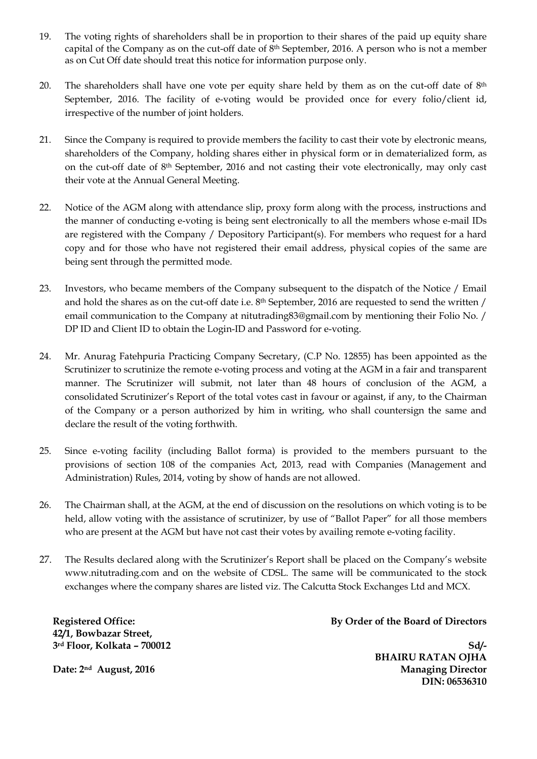- 19. The voting rights of shareholders shall be in proportion to their shares of the paid up equity share capital of the Company as on the cut-off date of 8th September, 2016. A person who is not a member as on Cut Off date should treat this notice for information purpose only.
- 20. The shareholders shall have one vote per equity share held by them as on the cut-off date of 8<sup>th</sup> September, 2016. The facility of e-voting would be provided once for every folio/client id, irrespective of the number of joint holders.
- 21. Since the Company is required to provide members the facility to cast their vote by electronic means, shareholders of the Company, holding shares either in physical form or in dematerialized form, as on the cut-off date of 8th September, 2016 and not casting their vote electronically, may only cast their vote at the Annual General Meeting.
- 22. Notice of the AGM along with attendance slip, proxy form along with the process, instructions and the manner of conducting e-voting is being sent electronically to all the members whose e-mail IDs are registered with the Company / Depository Participant(s). For members who request for a hard copy and for those who have not registered their email address, physical copies of the same are being sent through the permitted mode.
- 23. Investors, who became members of the Company subsequent to the dispatch of the Notice / Email and hold the shares as on the cut-off date i.e. 8th September, 2016 are requested to send the written / email communication to the Company at nitutrading83@gmail.com by mentioning their Folio No. / DP ID and Client ID to obtain the Login-ID and Password for e-voting.
- 24. Mr. Anurag Fatehpuria Practicing Company Secretary, (C.P No. 12855) has been appointed as the Scrutinizer to scrutinize the remote e-voting process and voting at the AGM in a fair and transparent manner. The Scrutinizer will submit, not later than 48 hours of conclusion of the AGM, a consolidated Scrutinizer's Report of the total votes cast in favour or against, if any, to the Chairman of the Company or a person authorized by him in writing, who shall countersign the same and declare the result of the voting forthwith.
- 25. Since e-voting facility (including Ballot forma) is provided to the members pursuant to the provisions of section 108 of the companies Act, 2013, read with Companies (Management and Administration) Rules, 2014, voting by show of hands are not allowed.
- 26. The Chairman shall, at the AGM, at the end of discussion on the resolutions on which voting is to be held, allow voting with the assistance of scrutinizer, by use of "Ballot Paper" for all those members who are present at the AGM but have not cast their votes by availing remote e-voting facility.
- 27. The Results declared along with the Scrutinizer's Report shall be placed on the Company's website www.nitutrading.com and on the website of CDSL. The same will be communicated to the stock exchanges where the company shares are listed viz. The Calcutta Stock Exchanges Ltd and MCX.

**Registered Office: 42/1, Bowbazar Street, 3rd Floor, Kolkata – 700012** **By Order of the Board of Directors**

**Sd/- BHAIRU RATAN OJHA Managing Director DIN: 06536310** 

**Date: 2nd August, 2016**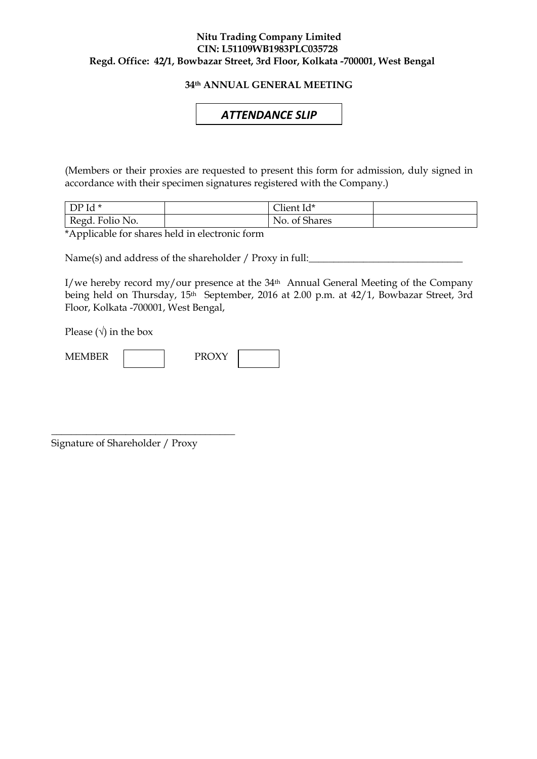#### **Nitu Trading Company Limited CIN: L51109WB1983PLC035728 Regd. Office: 42/1, Bowbazar Street, 3rd Floor, Kolkata -700001, West Bengal**

## **34th ANNUAL GENERAL MEETING**

# *ATTENDANCE SLIP*

(Members or their proxies are requested to present this form for admission, duly signed in accordance with their specimen signatures registered with the Company.)

| $DPId*$         | $\sim$ 1 $\sim$<br>∠lient Id* |  |
|-----------------|-------------------------------|--|
| Regd. Folio No. | No. of Shares                 |  |

\*Applicable for shares held in electronic form

Name(s) and address of the shareholder / Proxy in full:

I/we hereby record my/our presence at the  $34<sup>th</sup>$  Annual General Meeting of the Company being held on Thursday, 15th September, 2016 at 2.00 p.m. at 42/1, Bowbazar Street, 3rd Floor, Kolkata -700001, West Bengal,

Please  $(\sqrt{})$  in the box



Signature of Shareholder / Proxy

\_\_\_\_\_\_\_\_\_\_\_\_\_\_\_\_\_\_\_\_\_\_\_\_\_\_\_\_\_\_\_\_\_\_\_\_\_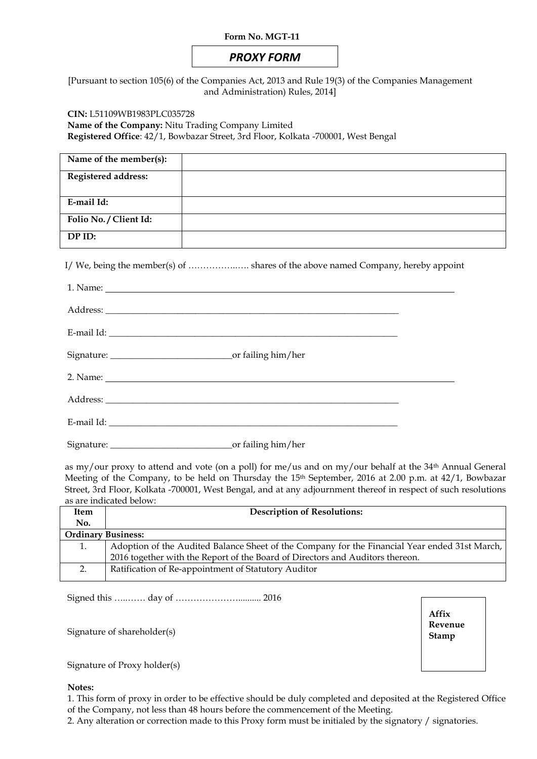#### **Form No. MGT-11**

# *PROXY FORM*

[Pursuant to section 105(6) of the Companies Act, 2013 and Rule 19(3) of the Companies Management and Administration) Rules, 2014]

**CIN:** L51109WB1983PLC035728

**Name of the Company:** Nitu Trading Company Limited

**Registered Office**: 42/1, Bowbazar Street, 3rd Floor, Kolkata -700001, West Bengal

| Name of the member(s):     |  |
|----------------------------|--|
| <b>Registered address:</b> |  |
| E-mail Id:                 |  |
| Folio No. / Client Id:     |  |
| DP ID:                     |  |

I/ We, being the member(s) of ……………..…. shares of the above named Company, hereby appoint

as my/our proxy to attend and vote (on a poll) for me/us and on my/our behalf at the 34th Annual General Meeting of the Company, to be held on Thursday the 15<sup>th</sup> September, 2016 at 2.00 p.m. at 42/1, Bowbazar Street, 3rd Floor, Kolkata -700001, West Bengal, and at any adjournment thereof in respect of such resolutions as are indicated below:

| Item                      | <b>Description of Resolutions:</b>                                                            |
|---------------------------|-----------------------------------------------------------------------------------------------|
| No.                       |                                                                                               |
| <b>Ordinary Business:</b> |                                                                                               |
|                           | Adoption of the Audited Balance Sheet of the Company for the Financial Year ended 31st March, |
|                           | 2016 together with the Report of the Board of Directors and Auditors thereon.                 |
|                           | Ratification of Re-appointment of Statutory Auditor                                           |

Signed this …..…… day of ………………….......... 2016

Signature of shareholder(s)

Signature of Proxy holder(s)

#### **Notes:**

1. This form of proxy in order to be effective should be duly completed and deposited at the Registered Office of the Company, not less than 48 hours before the commencement of the Meeting.

2. Any alteration or correction made to this Proxy form must be initialed by the signatory / signatories.

**Affix Revenue Stamp**